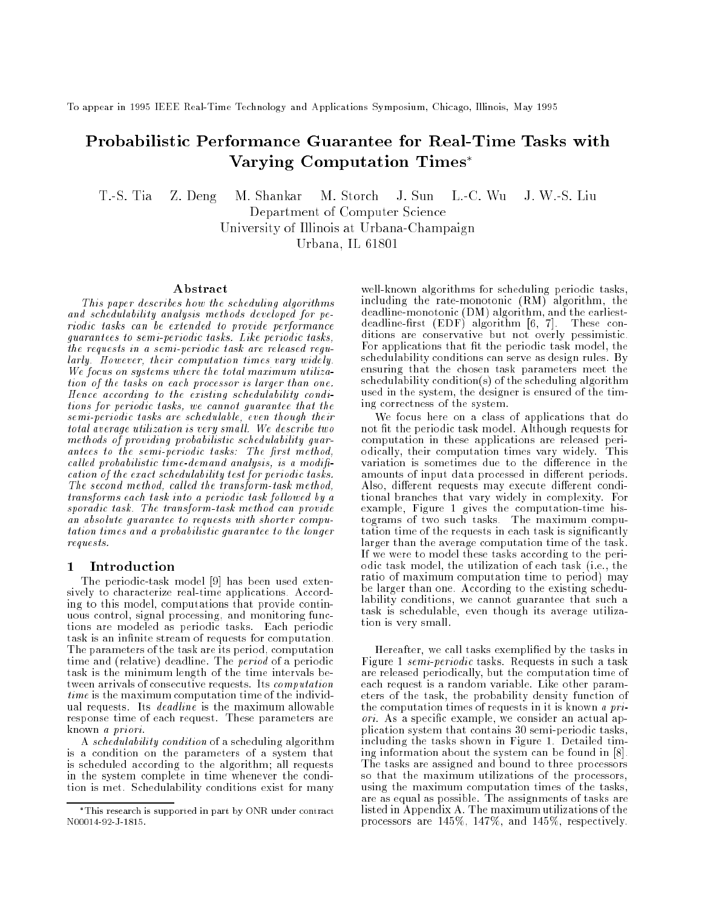To appear in 1995 IEEE Real-Time Technology and Applications Symposium, Chicago, Illinois, May 1995

# Probabilistic Performance Guarantee for Real-Time Tasks with Varying Computation Times

T.-S. Tia Z. Deng M. Shankar M. Storch J. Sun L.-C. Wu J. W.-S. Liu Department of Computer Science University of Illinois at Urbana-Champaign Urbana, IL 61801

#### Abstract

This paper describes how the scheduling algorithms and schedulability analysis methods developed for periodic tasks can be extended to provide performance guarantees to semi-periodic tasks. Like periodic tasks, the requests in a semi-periodic task are released regularly. However, their computation times vary widely. We focus on systems where the total maximum utilization of the tasks on each processor is larger than one. Hence according to the existing schedulability conditions for periodic tasks, we cannot guarantee that the semi-periodic tasks are schedulable, even though their total average utilization is very smal l. We describe two methods of providing probabilistic schedulability guarantees to the semi-periodic tasks: The first method, called probabilistic time-demand analysis, is a modification of the exact schedulability test for periodic tasks. The second method, called the transform-task method, transforms each task into a periodic task fol lowed by a sporadic task. The transform-task method can provide an absolute guarantee to requests with shorter computation times and a probabilistic guarantee to the longer requests.

### 1 Introduction

The periodic-task model [9] has been used extensively to characterize real-time applications. According to this model, computations that provide continuous control, signal processing, and monitoring functions are modeled as periodic tasks. Each periodic task is an infinite stream of requests for computation. The parameters of the task are its period, computation time and (relative) deadline. The *period* of a periodic task is the minimum length of the time intervals between arrivals of consecutive requests. Its computation time is the maximum computation time of the individus requests. Its dead line is the maximum allows the maximum allows response time of each request. These parameters are known a priori.

A schedulability condition of a scheduling algorithm is a condition on the parameters of a system that is scheduled according to the algorithm; all requests in the system complete in time whenever the condition is met. Schedulability conditions exist for many

well-known algorithms for scheduling periodic tasks, including the rate-monotonic (RM) algorithm, the deadline-monotonic (DM) algorithm, and the earliestdeadline-first  $(EDF)$  algorithm  $[6, 7]$ . These conditions are conservative but not overly pessimistic. For applications that fit the periodic task model, the schedulability conditions can serve as design rules. By ensuring that the chosen task parameters meet the schedulability condition(s) of the scheduling algorithm used in the system, the designer is ensured of the timing correctness of the system.

We focus here on a class of applications that do not fit the periodic task model. Although requests for computation in these applications are released periodically, their computation times vary widely. This variation is sometimes due to the difference in the amounts of input data processed in different periods. Also, different requests may execute different conditional branches that vary widely in complexity. For example, Figure 1 gives the computation-time histograms of two such tasks. The maximum computation time of the requests in each task is signicantly larger than the average computation time of the task. If we were to model these tasks according to the periodic task model, the utilization of each task (i.e., the ratio of maximum computation time to period) may be larger than one. According to the existing schedulability conditions, we cannot guarantee that such a task is schedulable, even though its average utilization is very small.

Hereafter, we call tasks exemplied by the tasks in Figure 1 semi-periodic tasks. Requests in such a task are released periodically, but the computation time of each request is a random variable. Like other parameters of the task, the probability density function of the computation times of requests in it is known a priori. As a specific example, we consider an actual application system that contains 30 semi-periodic tasks, including the tasks shown in Figure 1. Detailed timing information about the system can be found in [8]. The tasks are assigned and bound to three processors so that the maximum utilizations of the processors, using the maximum computation times of the tasks, are as equal as possible. The assignments of tasks are listed in Appendix A. The maximum utilizations of the processors are 145%, 147%, and 145%, respectively.

This research is supported in part by ONR under contract N00014-92-J-1815.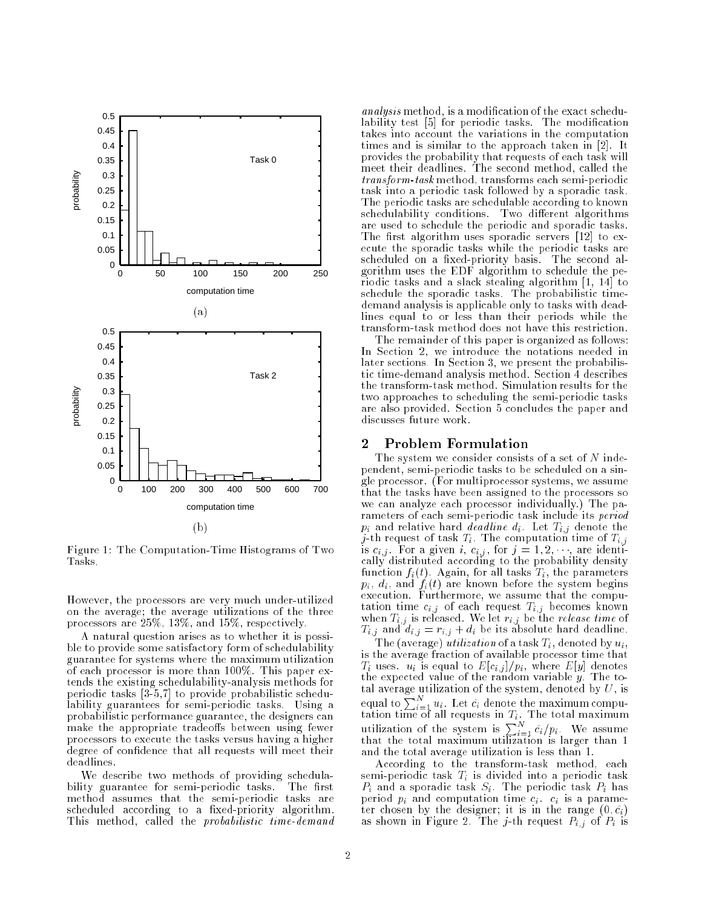

Figure 1: The Computation-Time Histograms of Two Tasks.

However, the processors are very much under-utilized on the average; the average utilizations of the three processors are 25%, 13%, and 15%, respectively.

A natural question arises as to whether it is possible to provide some satisfactory form of schedulability guarantee for systems where the maximum utilization of each processor is more than 100%. This paper extends the existing schedulability-analysis methods for periodic tasks [3-5,7] to provide probabilistic schedulability guarantees for semi-periodic tasks. Using a probabilistic performance guarantee, the designers can make the appropriate tradeoffs between using fewer processors to execute the tasks versus having a higher degree of condence that all requests will meet their deadlines.

We describe two methods of providing schedulability guarantee for semi-periodic tasks. The first method assumes that the semi-periodic tasks are scheduled according to a fixed-priority algorithm. This method, called the *probabilistic time-demand* 

analysis method, is a modication of the exact schedulability test [5] for periodic tasks. The modification takes into account the variations in the computation times and is similar to the approach taken in [2]. It provides the probability that requests of each task will meet their deadlines. The second method, called the transform-task method, transforms each semi-periodic task into a periodic task followed by a sporadic task. The periodic tasks are schedulable according to known schedulability conditions. Two different algorithms are used to schedule the periodic and sporadic tasks. The first algorithm uses sporadic servers  $[12]$  to execute the sporadic tasks while the periodic tasks are scheduled on a fixed-priority basis. The second algorithm uses the EDF algorithm to schedule the periodic tasks and a slack stealing algorithm [1, 14] to schedule the sporadic tasks. The probabilistic timedemand analysis is applicable only to tasks with deadlines equal to or less than their periods while the transform-task method does not have this restriction.

The remainder of this paper is organized as follows: In Section 2, we introduce the notations needed in later sections. In Section 3, we present the probabilistic time-demand analysis method. Section 4 describes the transform-task method. Simulation results for the two approaches to scheduling the semi-periodic tasks are also provided. Section 5 concludes the paper and discusses future work.

### 2 Problem Formulation

The system we consider consists of a set of  $N$  independent, semi-periodic tasks to be scheduled on a single processor. (For multiprocessor systems, we assume that the tasks have been assigned to the processors so we can analyze each processor individually.) The parameters of each semi-periodic task include its period  $p_{ij}$  and decade the mass decade line distribution of  $p_{ij}$  denote the theory j-th request of task Ti . The computation time of Ti;j is ci;j . For a given i, ci;j , for <sup>j</sup> = 1; 2; , are identically distributed according to the probability density function  $f_i(t)$ . Again, for all tasks  $T_i$ , the parameters  $p_i, d_i$ , and  $f_i(t)$  are known before the system begins execution. Furthermore, we assume that the computation time circuit Time circuit Time circuit Time circuit Time circuit Time circuit Time circuit Time circuit Time circuit Time circuit Time circuit Time circuit Time circuit Time circuit Time circuit Time circuit Time c when Ti; is released. We let  $\mathbb{R}^n$  if the release time of time of time of time of time of time of time of time of time of time of time of time of time of time of time of time of time of time of time of time of time o Ti; and different interests absolute the interests absolute  $\alpha$  absolute  $\alpha$ 

The (average) utilization of a task  $T_i$ , denoted by  $u_i$ , is the average fraction of available processor time that  $T_i$  uses.  $u_i$  is equal to  $E[c_{i,j}]/p_i$ , where  $E[y]$  denotes the expected value of the random variable y. The total average utilization of the system, denoted by  $U$ , is equal to  $\sum_{i=1}^N u_i$ . Let  $\hat{c}_i$  denote the maximum compuutilization of the system is  $\sum_{i=1}^{N} c_i/p_i$ . We assume that the total maximum utilization is larger than 1 and the total average utilization is less than 1.

According to the transform-task method, each semi-periodic task  $T_i$  is divided into a periodic task  $P_i$  and a sporadic task  $S_i$ . The periodic task  $P_i$  has period  $p_i$  and computation time  $c_i$ .  $c_i$  is a parameter chosen by the designer; it is in the designer; it is in the range (0; c); it is in the range (0; c); coin as shown in Figure 2. The joint pixel and  $\mathbf{r}$  is presented by  $\mathbf{r}$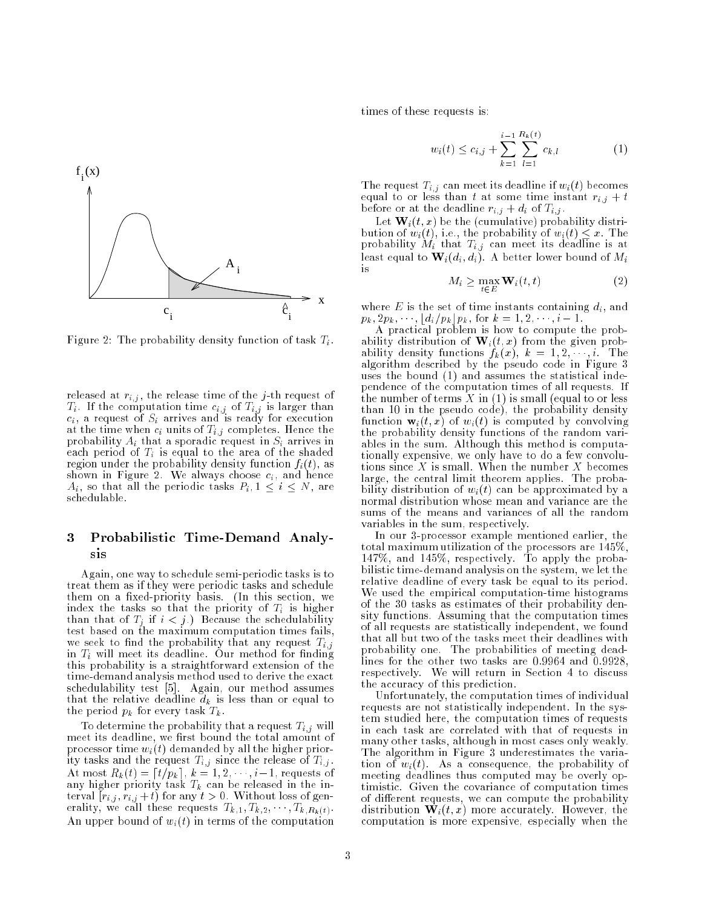

Figure 2: The probability density function of task  $T_i$ .

released at  $r_{i,j}$ , the release time of the j-th request of  $T_i$ . If the computation time  $c_{i,j}$  of  $T_{i,j}$  is larger than  $c_i$ , a request of  $S_i$  arrives and is ready for execution at the time when  $\mathcal{L}_k$  units of  $\mathcal{L}_k$  completes. Hence the t probability and the sports in Si arrives in Si arrives in Si arrives in Si arrives in Si arrives in Si arrives each period of  $T_i$  is equal to the area of the shaded region under the probability density function  $f_i(t)$ , as shown in Figure 2. We always choose  $c_i$ , and hence  $A_i$ , so that all the periodic tasks  $P_i, 1 \le i \le N$ , are schedulable.

# <sup>3</sup> Probabilistic Time-Demand Analysis

Again, one way to schedule semi-periodic tasks is to treat them as if they were periodic tasks and schedule them on a fixed-priority basis. (In this section, we index the tasks so that the priority of  $T_i$  is higher than that of  $T_i$  if  $i < j$ . Because the schedulability test based on the maximum computation times fails, we seek to find the probability that any request  $T_{i,j}$ in  $T_i$  will meet its deadline. Our method for finding this probability is a straightforward extension of the time-demand analysis method used to derive the exact schedulability test [5]. Again, our method assumes that the relative deadline  $d_k$  is less than or equal to the period  $p_k$  for every task  $T_k$ .

To determine the probability that a request  $T_{i,j}$  will meet its deadline, we first bound the total amount of processor time  $w_i(t)$  demanded by all the higher priority tasks and the request  $T_{i,j}$  since the release of  $T_{i,j}$ . At most Rk(t) = dt=pke, k = 1; 2; ; i1, requests of any mighting priority tasket T  $_{h}$  cannot be released in the interval  $[r_{i,j}, r_{i,j} + t]$  for any  $t > 0$ . Without loss of generality, we call these requests  $T_{k,1}, T_{k,2}, \cdots, T_{k,R_k(t)}$ . An upper bound of  $w_i(t)$  in terms of the computation times of these requests is:

$$
w_i(t) \le c_{i,j} + \sum_{k=1}^{i-1} \sum_{l=1}^{R_k(t)} c_{k,l} \tag{1}
$$

The request  $T_{i,j}$  can meet its deadline if  $w_i(t)$  becomes equal to or less than t at some time instant  $r_{i,j} + t$ before or at the deadline  $r_{i,j} + d_i$  of  $T_{i,j}$ .

Let  $\mathbf{W}_i(t,x)$  be the (cumulative) probability distribution of  $w_i(t)$ , i.e., the probability of  $w_i(t) \leq x$ . The probability  $\dot{M}_i$  that  $T_{i,j}$  can meet its deadline is at least equal to  $\mathbf{W}_i(d_i, d_i)$ . A better lower bound of  $M_i$ is

$$
M_i \ge \max_{t \in E} \mathbf{W}_i(t, t) \tag{2}
$$

where  $E$  is the set of time instants containing  $d_i$ , and  $p_k, 2p_k, \dots, \lfloor d_i/p_k \rfloor p_k$ , for  $k = 1, 2, \dots, i - 1$ .

A practical problem is how to compute the probability distribution of  $\mathbf{W}_i(t, x)$  from the given probability density functions  $f_k(x)$ ,  $k = 1, 2, \dots, i$ . The algorithm described by the pseudo code in Figure 3 uses the bound (1) and assumes the statistical independence of the computation times of all requests. If the number of terms X in  $(1)$  is small (equal to or less than 10 in the pseudo code), the probability density function  $\mathbf{w}_i(t, x)$  of  $w_i(t)$  is computed by convolving the probability density functions of the random variables in the sum. Although this method is computationally expensive, we only have to do a few convolutions since  $X$  is small. When the number  $X$  becomes large, the central limit theorem applies. The probability distribution of  $w_i(t)$  can be approximated by a normal distribution whose mean and variance are the sums of the means and variances of all the random variables in the sum, respectively.

In our 3-processor example mentioned earlier, the total maximum utilization of the processors are 145%, 147%, and 145%, respectively. To apply the probabilistic time-demand analysis on the system, we let the relative deadline of every task be equal to its period. We used the empirical computation-time histograms of the 30 tasks as estimates of their probability density functions. Assuming that the computation times of all requests are statistically independent, we found that all but two of the tasks meet their deadlines with probability one. The probabilities of meeting deadlines for the other two tasks are 0.9964 and 0.9928, respectively. We will return in Section 4 to discuss the accuracy of this prediction.

Unfortunately, the computation times of individual requests are not statistically independent. In the system studied here, the computation times of requests in each task are correlated with that of requests in many other tasks, although in most cases only weakly. The algorithm in Figure 3 underestimates the variation of  $w_i(t)$ . As a consequence, the probability of meeting deadlines thus computed may be overly optimistic. Given the covariance of computation times of different requests, we can compute the probability distribution  $\mathbf{W}_i(t,x)$  more accurately. However, the computation is more expensive, especially when the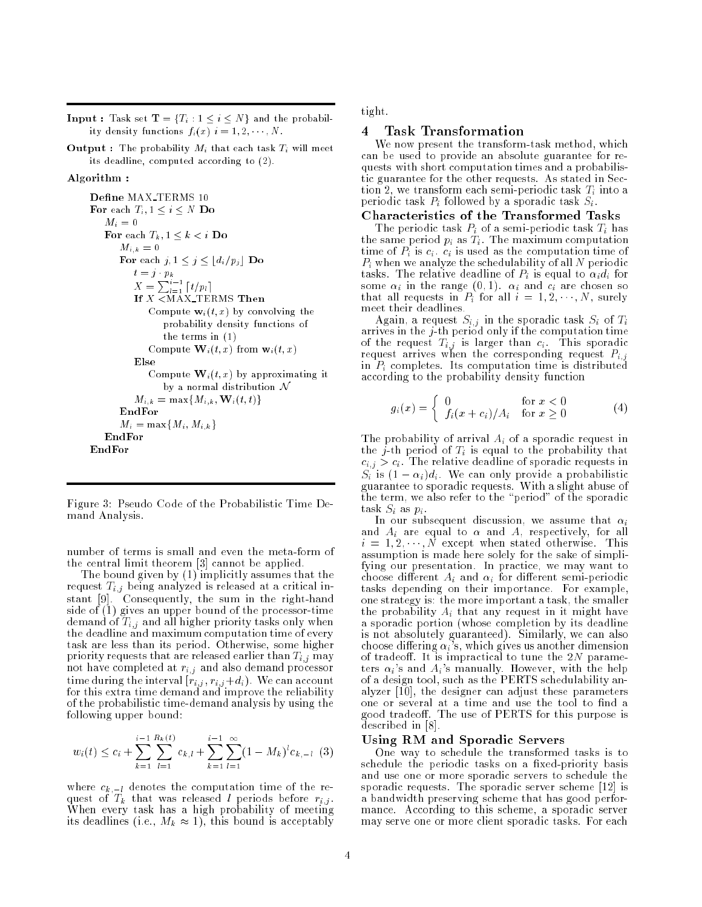**Input :** Task set  $\mathbf{T} = \{T_i : 1 \leq i \leq N\}$  and the probability density functions  $f_i(x)$   $i = 1, 2, \dots, N$ .

**Output :** The probability  $M_i$  that each task  $T_i$  will meet its deadline, computed according to (2).

### Algorithm :

```
Define MAX_TERMS 10
For each T_i, 1 \leq i \leq N Do
    M_i\,=\,0For each T_k, 1 \leq k \leq i Do
        M_{i,k} = 0For each j, 1 \leq j \leq \lfloor d_i/p_j \rfloor Do
            X = \sum_{l=1}^{P_n} [t/p_l]If X <MAX_TERMS Then
               Compute \mathbf{w}_i(t, x) by convolving the
                   probability density functions of
                   the terms in (1)
               Compute \mathbf{W}_i(t,x) from \mathbf{w}_i(t,x)Else
               Compute \mathbf{W}_i(t,x) by approximating it
                   by a normal distribution \mathcal NM_{i,k} = \max\{M_{i,k}, \mathbf{W}_i(t,t)\}EndFor
       M_i = \max\{M_i, M_{i,k}\}\EndFor
EndFor
```
Figure 3: Pseudo Code of the Probabilistic Time Demand Analysis.

number of terms is small and even the meta-form of the central limit theorem [3] cannot be applied.

The bound given by (1) implicitly assumes that the request  $T_{i,j}$  being analyzed is released at a critical instant [9]. Consequently, the sum in the right-hand side of (1) gives an upper bound of the processor-time demand of  $T_{i,j}$  and all higher priority tasks only when the deadline and maximum computation time of every task are less than its period. Otherwise, some higher priority requests that are released earlier than  $T_{i,j}$  may not have completed at  $r_{i,j}$  and also demand processor time during the interval  $[r_{i,j}, r_{i,j}+d_i)$ . We can account for this extra time demand and improve the reliability of the probabilistic time-demand analysis by using the following upper bound:

$$
w_i(t) \le c_i + \sum_{k=1}^{i-1} \sum_{l=1}^{R_k(t)} c_{k,l} + \sum_{k=1}^{i-1} \sum_{l=1}^{\infty} (1 - M_k)^l c_{k,l} \tag{3}
$$

where  $c_{k,-l}$  denotes the computation time of the request of  $T_k$  that was released l periods before  $r_{i,j}$ . When every task has a high probability of meeting its dealers and  $\{1,\ldots,N\}$  . If the bound is acceptable is a contract of  $\{1,\ldots,N\}$  tight.

### 4 Task Transformation

We now present the transform-task method, which can be used to provide an absolute guarantee for requests with short computation times and a probabilistic guarantee for the other requests. As stated in Section 2, we transform each semi-periodic task  $T_i$  into a periodic task  $P_i$  followed by a sporadic task  $S_i$ .

### Characteristics of the Transformed Tasks

The periodic task  $P_i$  of a semi-periodic task  $T_i$  has the same period  $p_i$  as  $T_i$ . The maximum computation time of  $P_i$  is  $c_i$ .  $c_i$  is used as the computation time of  $P_i$  when we analyze the schedulability of all N periodic tasks. The relative deadline of  $P_i$  is equal to  $\alpha_i d_i$  for some  $\alpha_i$  in the range  $(0, 1)$ .  $\alpha_i$  and  $c_i$  are chosen so that all requests in  $P_i$  for all  $i = 1, 2, \dots, N$ , surely meet their deadlines.

Again, a request Si;j in the sporadic task Si of Ti arrives in the j-th period only if the computation time of the request  $T_{i,j}$  is larger than  $c_i$ . This sporadic request arrives when the corresponding request  $P_{i,j}$ in  $P_i$  completes. Its computation time is distributed according to the probability density function

$$
g_i(x) = \begin{cases} 0 & \text{for } x < 0\\ f_i(x + c_i)/A_i & \text{for } x \ge 0 \end{cases}
$$
 (4)

The probability of arrival  $A_i$  of a sporadic request in the *j*-th period of  $T_i$  is equal to the probability that  $c_{i,j} > c_i$ . The relative deadline of sporadic requests in  $S_i$  is  $(1 - \alpha_i)d_i$ . We can only provide a probabilistic guarantee to sporadic requests. With a slight abuse of the term, we also refer to the \period" of the sporadic task  $S_i$  as  $p_i$ .

In our subsequent discussion, we assume that in the subsequent discussion, we assume that in the  $\theta$ and A, respectively, and A, respectively, for an are equal to  $\mathcal{A}$ , for all to  $\mathcal{A}$ , for all to  $\mathcal{A}$  $i = 1, 2, \dots, N$  except when stated otherwise. This assumption is made here solely for the sake of simplifying our presentation. In practice, we may want to choose different  $A_i$  and  $\alpha_i$  for different semi-periodic tasks depending on their importance. For example, one strategy is: the more important a task, the smaller the probability  $A_i$  that any request in it might have a sporadic portion (whose completion by its deadline is not absolutely guaranteed). Similarly, we can also choose differing  $\alpha_i$ 's, which gives us another dimension of tradeoff. It is impractical to tune the  $2N$  parameters  $\alpha_i$ 's and  $A_i$ 's manually. However, with the help of a design tool, such as the PERTS schedulability analyzer [10], the designer can adjust these parameters one or several at a time and use the tool to find a good tradeoff. The use of PERTS for this purpose is described in [8].

#### Using RM and Sporadic Servers

One way to schedule the transformed tasks is to schedule the periodic tasks on a fixed-priority basis and use one or more sporadic servers to schedule the sporadic requests. The sporadic server scheme [12] is a bandwidth preserving scheme that has good performance. According to this scheme, a sporadic server may serve one or more client sporadic tasks. For each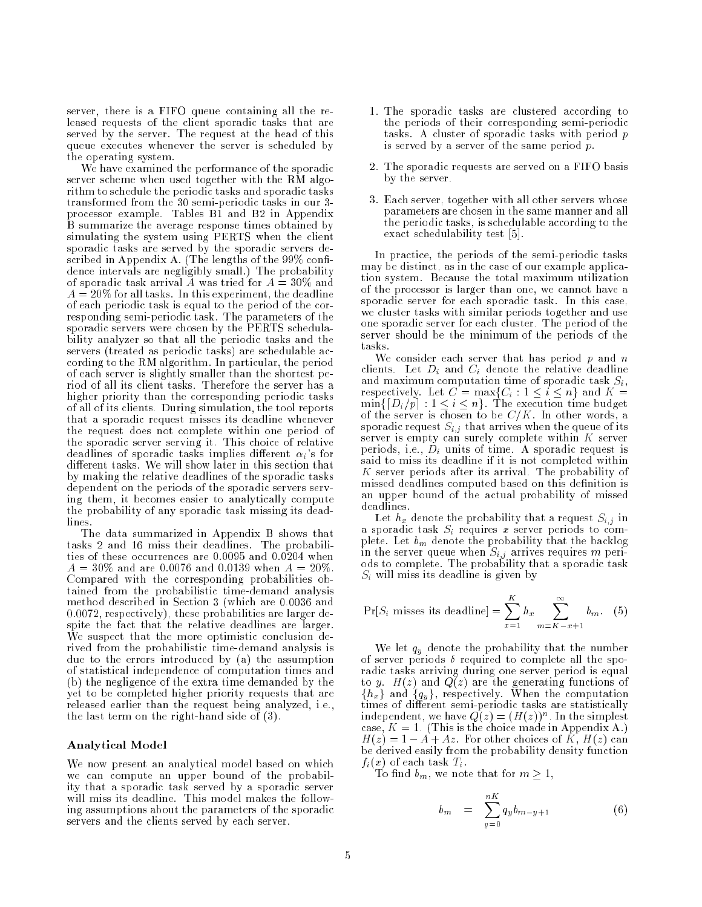server, there is a FIFO queue containing all the released requests of the client sporadic tasks that are served by the server. The request at the head of this queue executes whenever the server is scheduled by the operating system.

We have examined the performance of the sporadic server scheme when used together with the RM algorithm to schedule the periodic tasks and sporadic tasks transformed from the 30 semi-periodic tasks in our 3 processor example. Tables B1 and B2 in Appendix B summarize the average response times obtained by simulating the system using PERTS when the client sporadic tasks are served by the sporadic servers described in Appendix A. (The lengths of the  $99\%$  confidence intervals are negligibly small.) The probability of sporadic task arrival  $\tilde{A}$  was tried for  $A = 30\%$  and  $A = 20\%$  for all tasks. In this experiment, the deadline of each periodic task is equal to the period of the corresponding semi-periodic task. The parameters of the sporadic servers were chosen by the PERTS schedulability analyzer so that all the periodic tasks and the servers (treated as periodic tasks) are schedulable according to the RM algorithm. In particular, the period of each server is slightly smaller than the shortest period of all its client tasks. Therefore the server has a higher priority than the corresponding periodic tasks of all of its clients. During simulation, the tool reports that a sporadic request misses its deadline whenever the request does not complete within one period of the sporadic server serving it. This choice of relative deadlines of sporadic tasks implies different  $\alpha_i$ 's for different tasks. We will show later in this section that by making the relative deadlines of the sporadic tasks dependent on the periods of the sporadic servers serving them, it becomes easier to analytically compute the probability of any sporadic task missing its deadlines.

The data summarized in Appendix B shows that tasks 2 and 16 miss their deadlines. The probabilities of these occurrences are 0.0095 and 0.0204 when  $A = 30\%$  and are 0.0076 and 0.0139 when  $A = 20\%$ . Compared with the corresponding probabilities obtained from the probabilistic time-demand analysis method described in Section 3 (which are 0.0036 and 0.0072, respectively), these probabilities are larger despite the fact that the relative deadlines are larger. We suspect that the more optimistic conclusion derived from the probabilistic time-demand analysis is due to the errors introduced by (a) the assumption of statistical independence of computation times and (b) the negligence of the extra time demanded by the yet to be completed higher priority requests that are released earlier than the request being analyzed, i.e., the last term on the right-hand side of (3).

### Analytical Model

We now present an analytical model based on which we can compute an upper bound of the probability that a sporadic task served by a sporadic server will miss its deadline. This model makes the following assumptions about the parameters of the sporadic servers and the clients served by each server.

- 1. The sporadic tasks are clustered according to the periods of their corresponding semi-periodic tasks. A cluster of sporadic tasks with period p is served by a server of the same period  $p$ .
- 2. The sporadic requests are served on a FIFO basis by the server.
- 3. Each server, together with all other servers whose parameters are chosen in the same manner and all the periodic tasks, is schedulable according to the exact schedulability test [5].

In practice, the periods of the semi-periodic tasks may be distinct, as in the case of our example application system. Because the total maximum utilization of the processor is larger than one, we cannot have a sporadic server for each sporadic task. In this case, we cluster tasks with similar periods together and use one sporadic server for each cluster. The period of the server should be the minimum of the periods of the tasks.

We consider each server that has period  $p$  and  $n$ clients. Let  $D_i$  and  $C_i$  denote the relative deadline and maximum computation time of sporadic task  $S_i$ , respectively. Let  $C = \max\{C_i : 1 \le i \le n\}$  and  $K =$ respectively. Let C = maximum  $\mathcal{C}_k$  : 2 in 1 in 1 maximum and minister : 1 i i i ng. The execution time budget in the execution time budget in the execution of the execution of the execution of the execution of the execution of the execution of the execution of the execution of of the server is chosen to be C=K. In other words, and a server words, and a server words, and a series words, and a series of  $\mathcal{L} = \mathcal{L}$ sporadic request  $S_{i,j}$  that arrives when the queue of its server is empty can surely complete within  $K$  server periods, i.e.,  $D_i$  units of time. A sporadic request is said to miss its deadline if it is not completed within K server periods after its arrival. The probability of missed deadlines computed based on this definition is an upper bound of the actual probability of missed deadlines.

Let  $h_x$  denote the probability that a request  $S_{i,j}$  in a sporadic task  $S_i$  requires x server periods to complete. Let  $b_m$  denote the probability that the backlog in the server queue when  $S_{i,j}$  arrives requires m periods to complete. The probability that a sporadic task  $S_i$  will miss its deadline is given by

$$
\Pr[S_i \text{ misses its deadline}] = \sum_{x=1}^{K} h_x \sum_{m=K-x+1}^{\infty} b_m. \quad (5)
$$

We let  $q_y$  denote the probability that the number of server periods  $\delta$  required to complete all the sporadic tasks arriving during one server period is equal to y.  $H(z)$  and  $Q(z)$  are the generating functions of  $\{h_x\}$  and  $\{q_y\}$ , respectively. When the computation times of different semi-periodic tasks are statistically independent, we have  $Q(z) = (H(z))^n$ . In the simplest case,  $K = 1$ . (This is the choice made in Appendix A.)  $H(z) = 1 - A + Az$ . For other choices of K,  $H(z)$  can be derived easily from the probability density function  $f_i(x)$  of each task  $T_i$ .

To find  $b_m$ , we note that for  $m \geq 1$ ,

$$
b_m = \sum_{y=0}^{nK} q_y b_{m-y+1}
$$
 (6)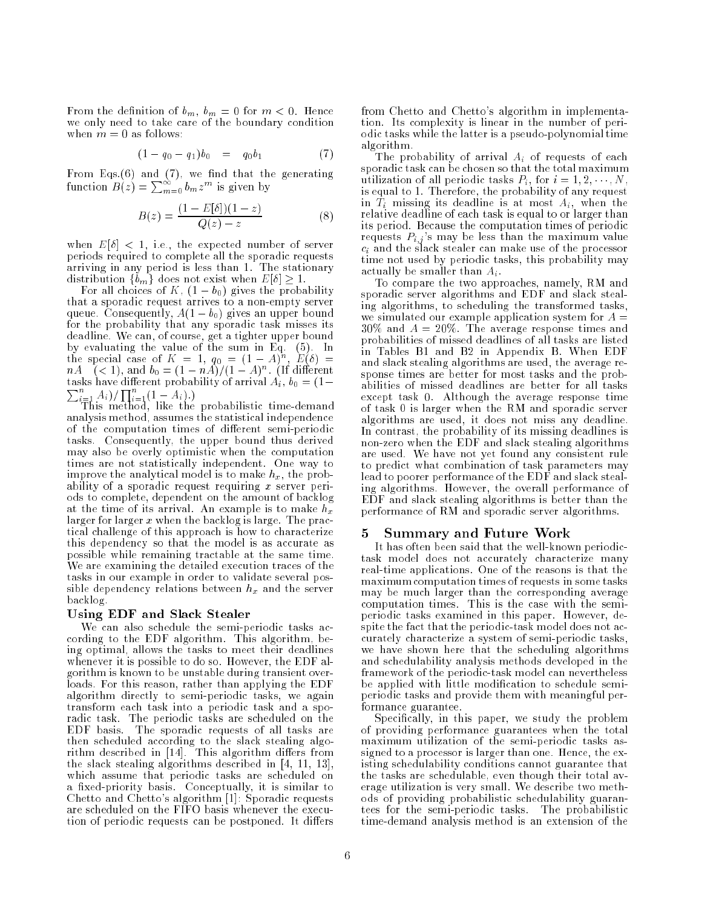From the definition of  $b_m$ ,  $b_m = 0$  for  $m < 0$ . Hence we only need to take care of the boundary condition when  $m = 0$  as follows:

$$
(1 - q_0 - q_1)b_0 = q_0b_1 \tag{7}
$$

From Eqs. $(6)$  and  $(7)$ , we find that the generating function  $B(z) = \sum_{m=0}^{\infty} b_m z^m$  is given by

$$
B(z) = \frac{(1 - E[\delta])(1 - z)}{Q(z) - z} \tag{8}
$$

when  $E[\delta] < 1$ , i.e., the expected number of server periods required to complete all the sporadic requests arriving in any period is less than 1. The stationary distribution  $\{b_m\}$  does not exist when  $E[\delta] \geq 1$ .

For all choices of K,  $(1 - b_0)$  gives the probability that a sporadic request arrives to a non-empty server queue. Consequently,  $A(1 - b_0)$  gives an upper bound for the probability that any sporadic task misses its deadline. We can, of course, get a tighter upper bound the special case of  $K = 1$ ,  $q_0 = (1 - A)^n$ ,  $E(\delta) =$  $n_A$  (< 1), and  $v_0 = (1 - n_A)/(1 - A)^n$ . (If different tasks have different probability of arrival  $A_i$ ,  $b_0 = (1 \sum_{i=1}^{n} A_i$ )/ $\prod_{i=1}^{n} (1 - A_i)$ .)<br>This method, like the probabilistic time-demand

analysis method, assumes the statistical independence of the computation times of different semi-periodic tasks. Consequently, the upper bound thus derived may also be overly optimistic when the computation times are not statistically independent. One way to improve the analytical model is to make  $h_x$ , the probability of a sporadic request requiring  $x$  server periods to complete, dependent on the amount of backlog at the time of its arrival. An example is to make  $h_x$ larger for larger x when the backlog is large. The practical challenge of this approach is how to characterize this dependency so that the model is as accurate as possible while remaining tractable at the same time. We are examining the detailed execution traces of the tasks in our example in order to validate several possible dependency relations between  $h_x$  and the server backlog.

### Using EDF and Slack Stealer

We can also schedule the semi-periodic tasks according to the EDF algorithm. This algorithm, being optimal, allows the tasks to meet their deadlines whenever it is possible to do so. However, the EDF algorithm is known to be unstable during transient overloads. For this reason, rather than applying the EDF algorithm directly to semi-periodic tasks, we again transform each task into a periodic task and a sporadic task. The periodic tasks are scheduled on the EDF basis. The sporadic requests of all tasks are then scheduled according to the slack stealing algorithm described in  $[14]$ . This algorithm differs from the slack stealing algorithms described in [4, 11, 13], which assume that periodic tasks are scheduled on a fixed-priority basis. Conceptually, it is similar to Chetto and Chetto's algorithm [1]: Sporadic requests are scheduled on the FIFO basis whenever the execution of periodic requests can be postponed. It differs from Chetto and Chetto's algorithm in implementation. Its complexity is linear in the number of periodic tasks while the latter is a pseudo-polynomial time algorithm.

The probability of arrival  $A_i$  of requests of each sporadic task can be chosen so that the total maximum utilization of all periodic tasks  $P_i$ , for  $i = 1, 2, \dots, N$ , is equal to 1. Therefore, the probability of any request in  $\tilde{T}_i$  missing its deadline is at most  $A_i$ , when the relative deadline of each task is equal to or larger than its period. Because the computation times of periodic requests  $P_{i,j}$ 's may be less than the maximum value  $c_i$  and the slack stealer can make use of the processor time not used by periodic tasks, this probability may actually be smaller than  $A_i$ .

To compare the two approaches, namely, RM and sporadic server algorithms and EDF and slack stealing algorithms, to scheduling the transformed tasks, we simulated our example application system for  $A =$  $30\%$  and  $A = 20\%$ . The average response times and probabilities of missed deadlines of all tasks are listed in Tables B1 and B2 in Appendix B. When EDF and slack stealing algorithms are used, the average response times are better for most tasks and the probabilities of missed deadlines are better for all tasks except task 0. Although the average response time of task 0 is larger when the RM and sporadic server algorithms are used, it does not miss any deadline. In contrast, the probability of its missing deadlines is non-zero when the EDF and slack stealing algorithms are used. We have not yet found any consistent rule to predict what combination of task parameters may lead to poorer performance of the EDF and slack stealing algorithms. However, the overall performance of EDF and slack stealing algorithms is better than the performance of RM and sporadic server algorithms.

#### 5 Summary and Future Work

It has often been said that the well-known periodictask model does not accurately characterize many real-time applications. One of the reasons is that the maximum computation times of requests in some tasks may be much larger than the corresponding average computation times. This is the case with the semiperiodic tasks examined in this paper. However, despite the fact that the periodic-task model does not accurately characterize a system of semi-periodic tasks, we have shown here that the scheduling algorithms and schedulability analysis methods developed in the framework of the periodic-task model can nevertheless be applied with little modification to schedule semiperiodic tasks and provide them with meaningful performance guarantee.

Specifically, in this paper, we study the problem of providing performance guarantees when the total maximum utilization of the semi-periodic tasks assigned to a processor is larger than one. Hence, the existing schedulability conditions cannot guarantee that the tasks are schedulable, even though their total average utilization is very small. We describe two methods of providing probabilistic schedulability guarantees for the semi-periodic tasks. The probabilistic time-demand analysis method is an extension of the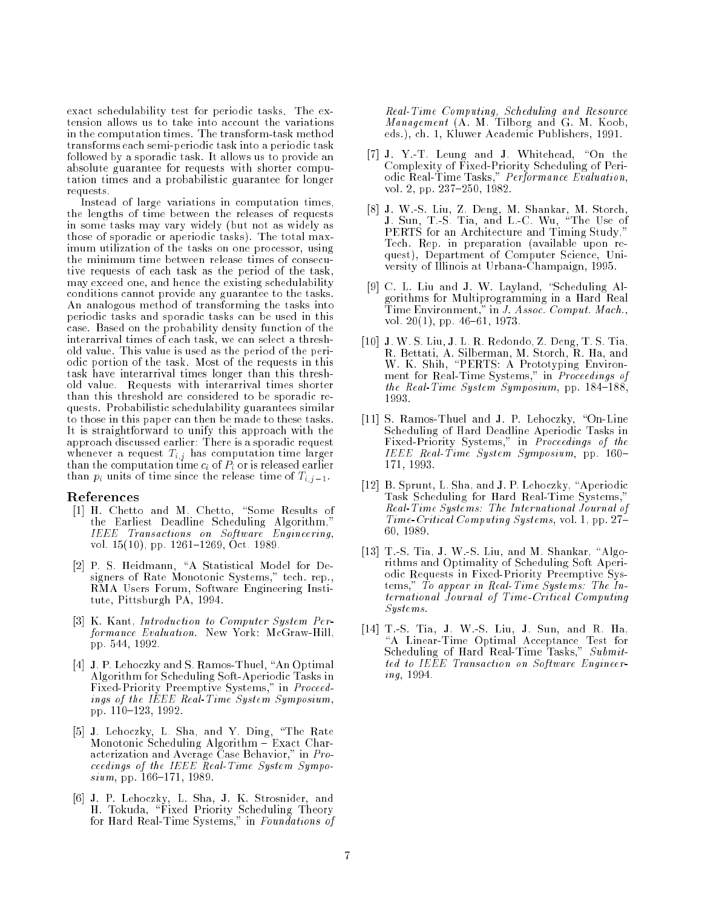exact schedulability test for periodic tasks. The extension allows us to take into account the variations in the computation times. The transform-task method transforms each semi-periodic task into a periodic task followed by a sporadic task. It allows us to provide an absolute guarantee for requests with shorter computation times and a probabilistic guarantee for longer requests.

Instead of large variations in computation times, the lengths of time between the releases of requests in some tasks may vary widely (but not as widely as those of sporadic or aperiodic tasks). The total maximum utilization of the tasks on one processor, using the minimum time between release times of consecutive requests of each task as the period of the task, may exceed one, and hence the existing schedulability conditions cannot provide any guarantee to the tasks. An analogous method of transforming the tasks into periodic tasks and sporadic tasks can be used in this case. Based on the probability density function of the interarrival times of each task, we can select a threshold value. This value is used as the period of the periodic portion of the task. Most of the requests in this task have interarrival times longer than this threshold value. Requests with interarrival times shorter than this threshold are considered to be sporadic requests. Probabilistic schedulability guarantees similar to those in this paper can then be made to these tasks. It is straightforward to unify this approach with the approach discussed earlier: There is a sporadic request where  $\alpha$  is the putation  $\alpha$   $\beta$  is the computation time larger time larger than the computation time ci of Pi or is released earlier than  $p_i$  units of time since the release time of  $T_{i,j-1}$ .

### References

- [1] H. Chetto and M. Chetto, "Some Results of the Earliest Deadline Scheduling Algorithm," IEEE Transactions on Software Engineering, vol.  $15(10)$ , pp.  $1261–1269$ , Oct. 1989.
- [2] P. S. Heidmann, "A Statistical Model for Designers of Rate Monotonic Systems," tech. rep., RMA Users Forum, Software Engineering Institute, Pittsburgh PA, 1994.
- [3] K. Kant, Introduction to Computer System Performance Evaluation. New York: McGraw-Hill, pp. 544, 1992.
- [4] J. P. Lehoczky and S. Ramos-Thuel, "An Optimal Algorithm for Scheduling Soft-Aperiodic Tasks in Fixed-Priority Preemptive Systems," in Proceedings of the IEEE Real-Time System Symposium, pp. 110-123, 1992.
- [5] J. Lehoczky, L. Sha, and Y. Ding, \The Rate Monotonic Scheduling Algorithm - Exact Characterization and Average Case Behavior," in Proceedings of the IEEE Real-Time System Sympo $sium$ , pp. 166-171, 1989.
- [6] J. P. Lehoczky, L. Sha, J. K. Strosnider, and H. Tokuda,  $\mathbf{H} = \mathbf{H} \mathbf{H}$  , we can expect the original Theory Scheduling Theory Scheduling Theory Scheduling Theory Scheduling Theory Scheduling Theory Scheduling Theory Scheduling Theory Scheduling Theory Scheduli for Hard Real-Time Systems," in Foundations of

Real-Time Computing, Scheduling and Resource Management (A. M. Tilborg and G. M. Koob, eds.), ch. 1, Kluwer Academic Publishers, 1991.

- [7] J. Y.-T. Leung and J. Whitehead, "On the Complexity of Fixed-Priority Scheduling of Periodic Real-Time Tasks," Performance Evaluation, vol. 2, pp. 237-250, 1982.
- [8] J. W.-S. Liu, Z. Deng, M. Shankar, M. Storch, J. Sun, T.-S. Tia, and L.-C. Wu, \The Use of PERTS for an Architecture and Timing Study," Tech. Rep. in preparation (available upon request), Department of Computer Science, University of Illinois at Urbana-Champaign, 1995.
- [9] C. L. Liu and J. W. Layland, "Scheduling Algorithms for Multiprogramming in a Hard Real Time Environment," in J. Assoc. Comput. Mach., vol. 20 $(1)$ , pp. 46-61, 1973.
- [10] J. W. S. Liu, J. L. R. Redondo, Z. Deng, T. S. Tia, R. Bettati, A. Silberman, M. Storch, R. Ha, and W. K. Shih, "PERTS: A Prototyping Environment for Real-Time Systems," in Proceedings of the Real-Time System Symposium, pp.  $184-188$ , 1993.
- [11] S. Ramos-Thuel and J. P. Lehoczky, "On-Line Scheduling of Hard Deadline Aperiodic Tasks in Fixed-Priority Systems," in Proceedings of the IEEE Real-Time System Symposium, pp. 160-171, 1993.
- [12] B. Sprunt, L. Sha, and J. P. Lehoczky, "Aperiodic Task Scheduling for Hard Real-Time Systems,' Real-Time Systems: The International Journal of Time-Critical Computing Systems, vol. 1, pp. 27– 60, 1989.
- [13] T.-S. Tia, J. W.-S. Liu, and M. Shankar, "Algorithms and Optimality of Scheduling Soft Aperiodic Requests in Fixed-Priority Preemptive Systems," To appear in Real-Time Systems: The International Journal of Time-Critical Computing Systems.
- [14] T.-S. Tia, J. W.-S. Liu, J. Sun, and R. Ha, \A Linear-Time Optimal Acceptance Test for Scheduling of Hard Real-Time Tasks," Submitted to IEEE Transaction on Software Engineering, 1994.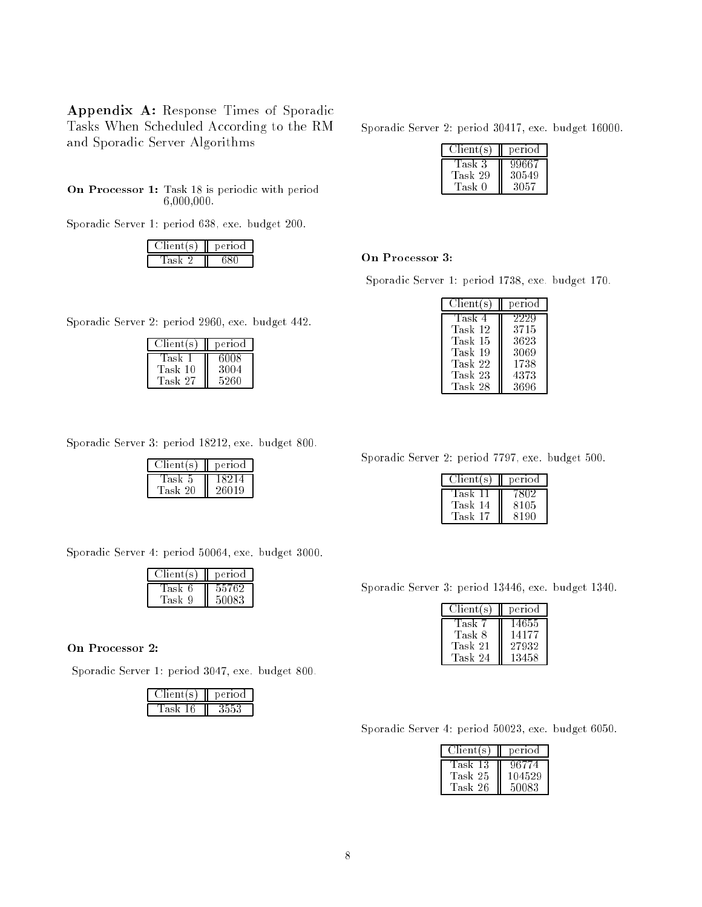Appendix A: Response Times of Sporadic Tasks When Scheduled According to the RM and Sporadic Server Algorithms

On Processor 1: Task 18 is periodic with period 6,000,000.

Sporadic Server 1: period 638, exe. budget 200.

| ientí s- | M.<br>erio |  |
|----------|------------|--|
|          |            |  |

Sporadic Server 2: period 30417, exe. budget 16000.

| $\overline{\text{Client}}(s)$ | period |
|-------------------------------|--------|
| Task 3                        | 99667  |
| Task 29                       | 30549  |
| Task 0                        | 3057   |

### On Processor 3:

Sporadic Server 1: period 1738, exe. budget 170.

| period |
|--------|
| 2229   |
| 3715   |
| 3623   |
| 3069   |
| 1738   |
| 4373   |
| 3696   |
|        |

Sporadic Server 2: period 2960, exe. budget 442.

| Client(s)       | period       |  |
|-----------------|--------------|--|
| Task<br>Task 10 | 6008<br>3004 |  |
| Task 27         | 5260         |  |

Sporadic Server 3: period 18212, exe. budget 800.

| rent(s) | period |  |
|---------|--------|--|
| lask b  | ולא    |  |
| Task 20 | 26019  |  |

Sporadic Server 4: period 50064, exe. budget 3000.

| Client(s) | period |
|-----------|--------|
| Task 6    | 55762  |
| Task 9    | 50083  |

### On Processor 2:

Sporadic Server 1: period 3047, exe. budget 800.

| entí s i | 16 F I O CI |  |
|----------|-------------|--|
|          |             |  |

Sporadic Server 2: period 7797, exe. budget 500.

| Client(s)       | period       |
|-----------------|--------------|
| Task            | '802         |
| Task 14<br>Task | 8105<br>8190 |

Sporadic Server 3: period 13446, exe. budget 1340.

| Client(s) | period |
|-----------|--------|
| Task 7    | 14655  |
| Task 8    | 14177  |
| Task 21   | 27932  |
| Task 24   | 13458  |

Sporadic Server 4: period 50023, exe. budget 6050.

| Client(s) | period |
|-----------|--------|
| Task 13   | 96774  |
| Task 25   | 104529 |
| Task 26   | 50083  |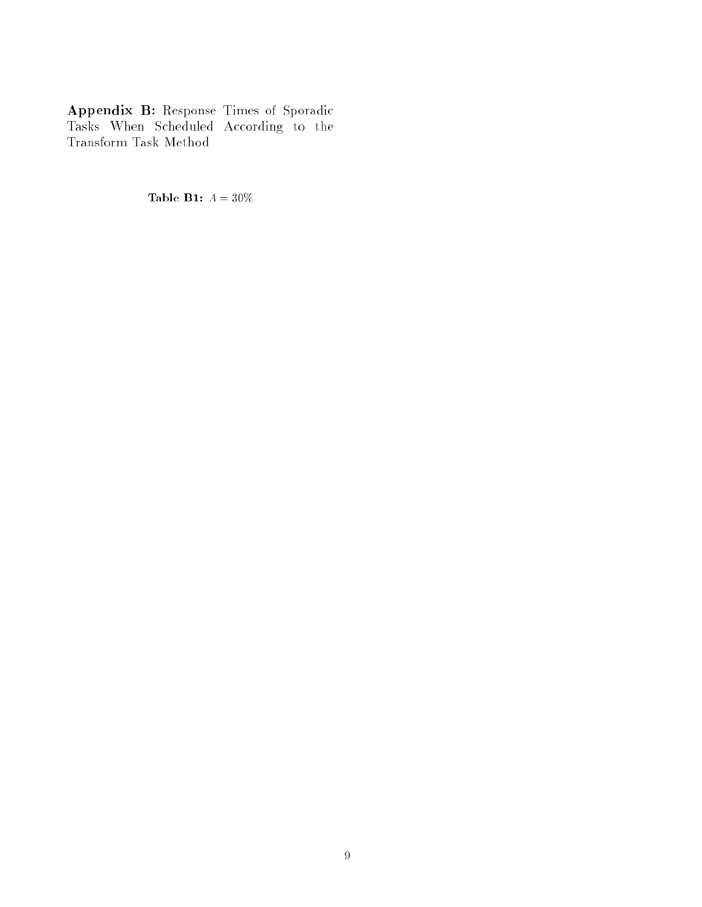Appendix B: Response Times of Sporadic Tasks When Scheduled According to the Transform Task Method

Table B1:  $A = 30\%$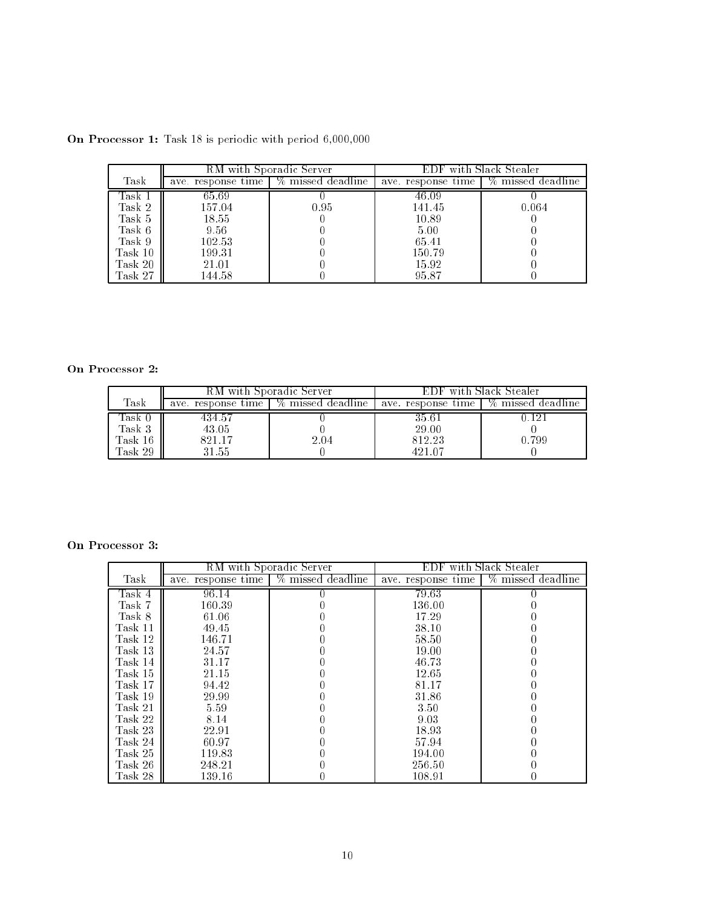|         | RM with Sporadic Server |                                        | EDF with Slack Stealer |                   |
|---------|-------------------------|----------------------------------------|------------------------|-------------------|
| Task    |                         | ave. response time   % missed deadline | ave, response time     | % missed deadline |
| Task 1  | 65.69                   |                                        | 46.09                  |                   |
| Task 2  | 157.04                  | 0.95                                   | 141.45                 | 0.064             |
| Task 5  | 18.55                   |                                        | 10.89                  |                   |
| Task 6  | 9.56                    |                                        | 5.00                   |                   |
| Task 9  | 102.53                  |                                        | 65.41                  |                   |
| Task 10 | 199.31                  |                                        | 150.79                 |                   |
| Task 20 | 21.01                   |                                        | 15.92                  |                   |
| Task 27 | 144.58                  |                                        | 95.87                  |                   |

On Processor 1: Task 18 is periodic with period 6,000,000

## On Processor 2:

|         | <b>RM</b> with Sporadic Server |                   | -with Slack Stealer |                   |
|---------|--------------------------------|-------------------|---------------------|-------------------|
| Task    | ave, response time             | % missed deadline | ave, response time  | % missed deadline |
| lask U  | 434.57                         |                   | 35.61               |                   |
| Task 3  | 43.05                          |                   | 29.00               |                   |
| Task 16 | 821.17                         | 2.04              | 812.23              | 0.799             |
| Task 29 | 21.55 °                        |                   | 421.07              |                   |

# On Processor 3:

|         | RM with Sporadic Server |                   | EDF with Slack Stealer |                    |
|---------|-------------------------|-------------------|------------------------|--------------------|
| Task    | ave, response time      | % missed deadline | ave. response time     | % missed deadline- |
| Task 4  | 96.14                   |                   | 79.63                  |                    |
| Task 7  | 160.39                  |                   | 136.00                 |                    |
| Task 8  | 61.06                   |                   | 17.29                  |                    |
| Task 11 | 49.45                   |                   | 38.10                  |                    |
| Task 12 | 146.71                  |                   | 58.50                  |                    |
| Task 13 | 24.57                   |                   | 19.00                  |                    |
| Task 14 | 31.17                   |                   | 46.73                  |                    |
| Task 15 | 21.15                   |                   | 12.65                  |                    |
| Task 17 | 94.42                   |                   | 81.17                  |                    |
| Task 19 | 29.99                   |                   | 31.86                  |                    |
| Task 21 | 5.59                    |                   | 3.50                   |                    |
| Task 22 | 8.14                    |                   | 9.03                   |                    |
| Task 23 | 22.91                   |                   | 18.93                  |                    |
| Task 24 | 60.97                   |                   | 57.94                  |                    |
| Task 25 | 119.83                  |                   | 194.00                 |                    |
| Task 26 | 248.21                  |                   | 256.50                 |                    |
| Task 28 | 139.16                  |                   | 108.91                 |                    |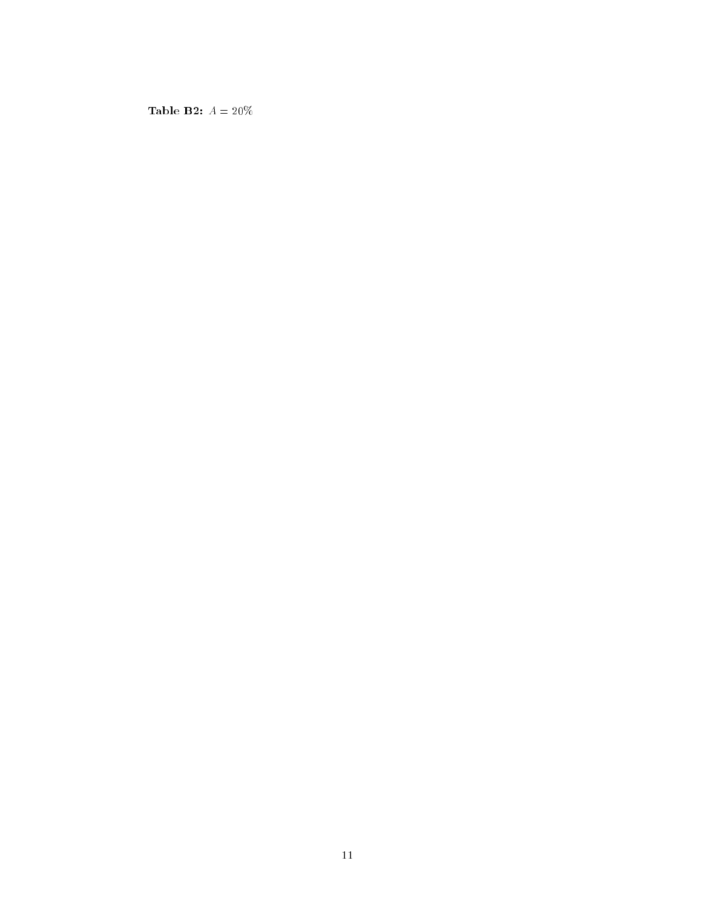Table **B2:**  $A = 20\%$